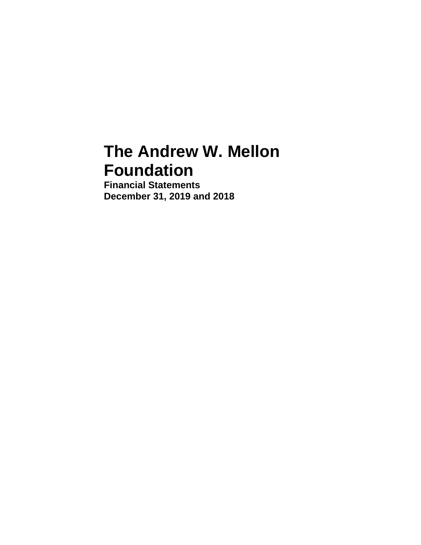# **The Andrew W. Mellon Foundation**

**Financial Statements December 31, 2019 and 2018**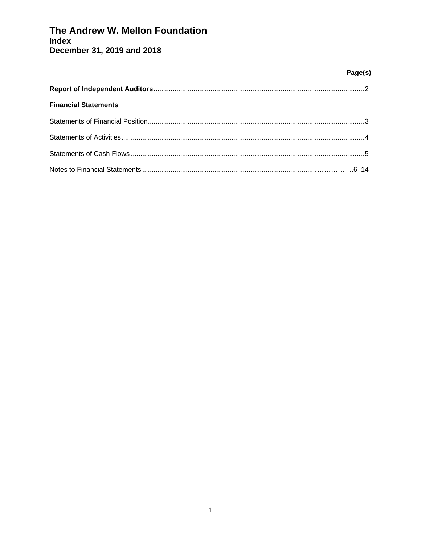# The Andrew W. Mellon Foundation Index December 31, 2019 and 2018

# Page(s)

| <b>Financial Statements</b> |  |
|-----------------------------|--|
|                             |  |
|                             |  |
|                             |  |
|                             |  |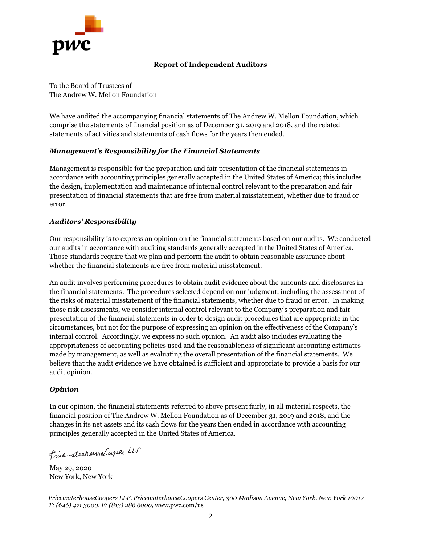

# **Report of Independent Auditors**

To the Board of Trustees of The Andrew W. Mellon Foundation

We have audited the accompanying financial statements of The Andrew W. Mellon Foundation, which comprise the statements of financial position as of December 31, 2019 and 2018, and the related statements of activities and statements of cash flows for the years then ended.

# *Management's Responsibility for the Financial Statements*

Management is responsible for the preparation and fair presentation of the financial statements in accordance with accounting principles generally accepted in the United States of America; this includes the design, implementation and maintenance of internal control relevant to the preparation and fair presentation of financial statements that are free from material misstatement, whether due to fraud or error.

# *Auditors' Responsibility*

Our responsibility is to express an opinion on the financial statements based on our audits. We conducted our audits in accordance with auditing standards generally accepted in the United States of America. Those standards require that we plan and perform the audit to obtain reasonable assurance about whether the financial statements are free from material misstatement.

An audit involves performing procedures to obtain audit evidence about the amounts and disclosures in the financial statements. The procedures selected depend on our judgment, including the assessment of the risks of material misstatement of the financial statements, whether due to fraud or error. In making those risk assessments, we consider internal control relevant to the Company's preparation and fair presentation of the financial statements in order to design audit procedures that are appropriate in the circumstances, but not for the purpose of expressing an opinion on the effectiveness of the Company's internal control. Accordingly, we express no such opinion. An audit also includes evaluating the appropriateness of accounting policies used and the reasonableness of significant accounting estimates made by management, as well as evaluating the overall presentation of the financial statements. We believe that the audit evidence we have obtained is sufficient and appropriate to provide a basis for our audit opinion.

# *Opinion*

In our opinion, the financial statements referred to above present fairly, in all material respects, the financial position of The Andrew W. Mellon Foundation as of December 31, 2019 and 2018, and the changes in its net assets and its cash flows for the years then ended in accordance with accounting principles generally accepted in the United States of America.

fricewaterhouse Coopers LLP

May 29, 2020 New York, New York

*PricewaterhouseCoopers LLP, PricewaterhouseCoopers Center, 300 Madison Avenue, New York, New York 10017 T: (646) 471 3000, F: (813) 286 6000,* www.pwc.com/us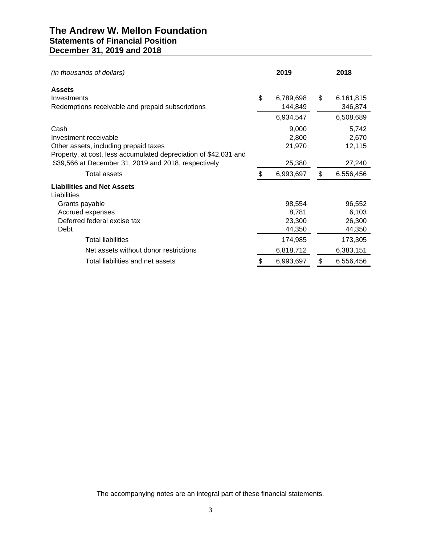# **The Andrew W. Mellon Foundation Statements of Financial Position December 31, 2019 and 2018**

| (in thousands of dollars)                                                                                                                  | 2019                       | 2018                       |
|--------------------------------------------------------------------------------------------------------------------------------------------|----------------------------|----------------------------|
| <b>Assets</b><br>Investments<br>Redemptions receivable and prepaid subscriptions                                                           | \$<br>6,789,698<br>144,849 | \$<br>6,161,815<br>346,874 |
|                                                                                                                                            | 6,934,547                  | 6,508,689                  |
| Cash<br>Investment receivable<br>Other assets, including prepaid taxes<br>Property, at cost, less accumulated depreciation of \$42,031 and | 9,000<br>2,800<br>21,970   | 5,742<br>2,670<br>12,115   |
| \$39,566 at December 31, 2019 and 2018, respectively                                                                                       | 25,380                     | 27,240                     |
| Total assets                                                                                                                               | \$<br>6,993,697            | \$<br>6,556,456            |
| <b>Liabilities and Net Assets</b><br>Liabilities                                                                                           |                            |                            |
| Grants payable                                                                                                                             | 98,554                     | 96,552                     |
| Accrued expenses                                                                                                                           | 8,781                      | 6,103                      |
| Deferred federal excise tax                                                                                                                | 23,300                     | 26,300                     |
| Debt                                                                                                                                       | 44,350                     | 44,350                     |
| <b>Total liabilities</b>                                                                                                                   | 174,985                    | 173,305                    |
| Net assets without donor restrictions                                                                                                      | 6,818,712                  | 6,383,151                  |
| Total liabilities and net assets                                                                                                           | 6,993,697                  | \$<br>6,556,456            |

The accompanying notes are an integral part of these financial statements.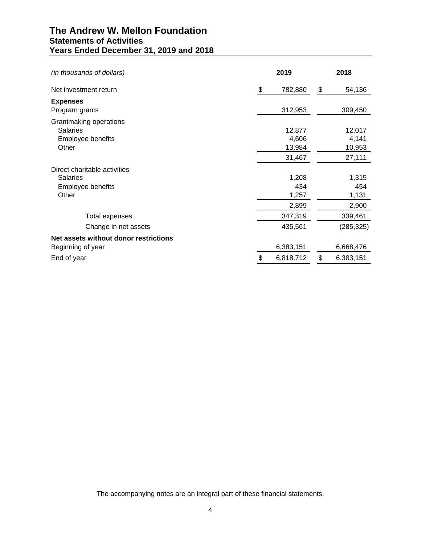# **The Andrew W. Mellon Foundation Statements of Activities Years Ended December 31, 2019 and 2018**

| (in thousands of dollars)                                                     | 2019                                | 2018                                |
|-------------------------------------------------------------------------------|-------------------------------------|-------------------------------------|
| Net investment return                                                         | \$<br>782,880                       | \$<br>54,136                        |
| <b>Expenses</b><br>Program grants                                             | 312,953                             | 309,450                             |
| Grantmaking operations<br><b>Salaries</b><br>Employee benefits<br>Other       | 12,877<br>4,606<br>13,984<br>31,467 | 12,017<br>4,141<br>10,953<br>27,111 |
| Direct charitable activities<br><b>Salaries</b><br>Employee benefits<br>Other | 1,208<br>434<br>1,257<br>2,899      | 1,315<br>454<br>1,131<br>2,900      |
| <b>Total expenses</b>                                                         | 347,319                             | 339,461                             |
| Change in net assets                                                          | 435,561                             | (285, 325)                          |
| Net assets without donor restrictions<br>Beginning of year                    | 6,383,151                           | 6,668,476                           |
| End of year                                                                   | \$<br>6,818,712                     | \$<br>6,383,151                     |

The accompanying notes are an integral part of these financial statements.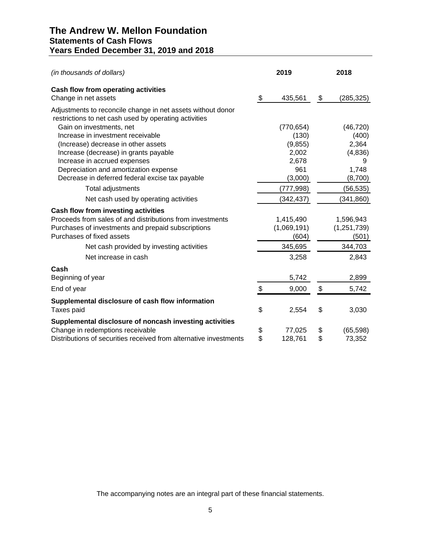| (in thousands of dollars)                                                                                            | 2019          | 2018             |
|----------------------------------------------------------------------------------------------------------------------|---------------|------------------|
| Cash flow from operating activities                                                                                  |               |                  |
| Change in net assets                                                                                                 | \$<br>435,561 | \$<br>(285, 325) |
| Adjustments to reconcile change in net assets without donor<br>restrictions to net cash used by operating activities |               |                  |
| Gain on investments, net                                                                                             | (770, 654)    | (46, 720)        |
| Increase in investment receivable                                                                                    | (130)         | (400)            |
| (Increase) decrease in other assets                                                                                  | (9, 855)      | 2,364            |
| Increase (decrease) in grants payable                                                                                | 2,002         | (4,836)          |
| Increase in accrued expenses                                                                                         | 2,678         | 9                |
| Depreciation and amortization expense                                                                                | 961           | 1,748            |
| Decrease in deferred federal excise tax payable                                                                      | (3,000)       | (8,700)          |
| Total adjustments                                                                                                    | (777,998)     | (56, 535)        |
| Net cash used by operating activities                                                                                | (342,437)     | (341, 860)       |
| Cash flow from investing activities                                                                                  |               |                  |
| Proceeds from sales of and distributions from investments                                                            | 1,415,490     | 1,596,943        |
| Purchases of investments and prepaid subscriptions                                                                   | (1,069,191)   | (1, 251, 739)    |
| Purchases of fixed assets                                                                                            | (604)         | (501)            |
| Net cash provided by investing activities                                                                            | 345,695       | 344,703          |
| Net increase in cash                                                                                                 | 3,258         | 2,843            |
| Cash                                                                                                                 |               |                  |
| Beginning of year                                                                                                    | 5,742         | 2,899            |
| End of year                                                                                                          | \$<br>9,000   | \$<br>5,742      |
| Supplemental disclosure of cash flow information                                                                     |               |                  |
| Taxes paid                                                                                                           | \$<br>2,554   | \$<br>3,030      |
| Supplemental disclosure of noncash investing activities                                                              |               |                  |
| Change in redemptions receivable                                                                                     | \$<br>77,025  | \$<br>(65, 598)  |
| Distributions of securities received from alternative investments                                                    | \$<br>128,761 | \$<br>73,352     |

The accompanying notes are an integral part of these financial statements.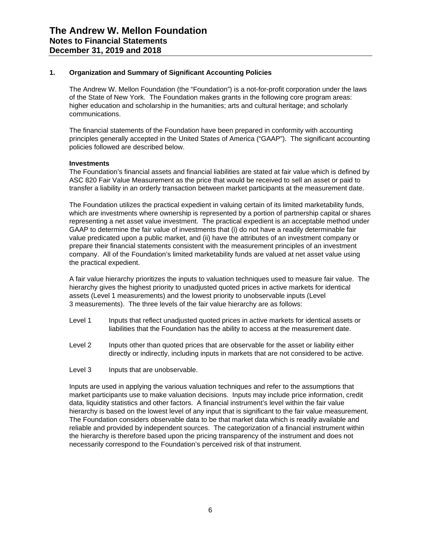## **1. Organization and Summary of Significant Accounting Policies**

The Andrew W. Mellon Foundation (the "Foundation") is a not-for-profit corporation under the laws of the State of New York. The Foundation makes grants in the following core program areas: higher education and scholarship in the humanities; arts and cultural heritage; and scholarly communications.

The financial statements of the Foundation have been prepared in conformity with accounting principles generally accepted in the United States of America ("GAAP"). The significant accounting policies followed are described below.

## **Investments**

The Foundation's financial assets and financial liabilities are stated at fair value which is defined by ASC 820 Fair Value Measurement as the price that would be received to sell an asset or paid to transfer a liability in an orderly transaction between market participants at the measurement date.

The Foundation utilizes the practical expedient in valuing certain of its limited marketability funds, which are investments where ownership is represented by a portion of partnership capital or shares representing a net asset value investment. The practical expedient is an acceptable method under GAAP to determine the fair value of investments that (i) do not have a readily determinable fair value predicated upon a public market, and (ii) have the attributes of an investment company or prepare their financial statements consistent with the measurement principles of an investment company. All of the Foundation's limited marketability funds are valued at net asset value using the practical expedient.

A fair value hierarchy prioritizes the inputs to valuation techniques used to measure fair value. The hierarchy gives the highest priority to unadjusted quoted prices in active markets for identical assets (Level 1 measurements) and the lowest priority to unobservable inputs (Level 3 measurements). The three levels of the fair value hierarchy are as follows:

- Level 1 Inputs that reflect unadjusted quoted prices in active markets for identical assets or liabilities that the Foundation has the ability to access at the measurement date.
- Level 2 Inputs other than quoted prices that are observable for the asset or liability either directly or indirectly, including inputs in markets that are not considered to be active.
- Level 3 Inputs that are unobservable.

Inputs are used in applying the various valuation techniques and refer to the assumptions that market participants use to make valuation decisions. Inputs may include price information, credit data, liquidity statistics and other factors. A financial instrument's level within the fair value hierarchy is based on the lowest level of any input that is significant to the fair value measurement. The Foundation considers observable data to be that market data which is readily available and reliable and provided by independent sources. The categorization of a financial instrument within the hierarchy is therefore based upon the pricing transparency of the instrument and does not necessarily correspond to the Foundation's perceived risk of that instrument.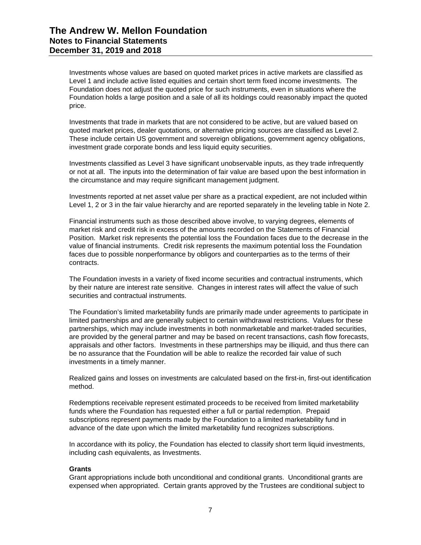Investments whose values are based on quoted market prices in active markets are classified as Level 1 and include active listed equities and certain short term fixed income investments. The Foundation does not adjust the quoted price for such instruments, even in situations where the Foundation holds a large position and a sale of all its holdings could reasonably impact the quoted price.

Investments that trade in markets that are not considered to be active, but are valued based on quoted market prices, dealer quotations, or alternative pricing sources are classified as Level 2. These include certain US government and sovereign obligations, government agency obligations, investment grade corporate bonds and less liquid equity securities.

Investments classified as Level 3 have significant unobservable inputs, as they trade infrequently or not at all. The inputs into the determination of fair value are based upon the best information in the circumstance and may require significant management judgment.

Investments reported at net asset value per share as a practical expedient, are not included within Level 1, 2 or 3 in the fair value hierarchy and are reported separately in the leveling table in Note 2.

Financial instruments such as those described above involve, to varying degrees, elements of market risk and credit risk in excess of the amounts recorded on the Statements of Financial Position. Market risk represents the potential loss the Foundation faces due to the decrease in the value of financial instruments. Credit risk represents the maximum potential loss the Foundation faces due to possible nonperformance by obligors and counterparties as to the terms of their contracts.

The Foundation invests in a variety of fixed income securities and contractual instruments, which by their nature are interest rate sensitive. Changes in interest rates will affect the value of such securities and contractual instruments.

The Foundation's limited marketability funds are primarily made under agreements to participate in limited partnerships and are generally subject to certain withdrawal restrictions. Values for these partnerships, which may include investments in both nonmarketable and market-traded securities, are provided by the general partner and may be based on recent transactions, cash flow forecasts, appraisals and other factors. Investments in these partnerships may be illiquid, and thus there can be no assurance that the Foundation will be able to realize the recorded fair value of such investments in a timely manner.

Realized gains and losses on investments are calculated based on the first-in, first-out identification method.

Redemptions receivable represent estimated proceeds to be received from limited marketability funds where the Foundation has requested either a full or partial redemption. Prepaid subscriptions represent payments made by the Foundation to a limited marketability fund in advance of the date upon which the limited marketability fund recognizes subscriptions.

In accordance with its policy, the Foundation has elected to classify short term liquid investments, including cash equivalents, as Investments.

#### **Grants**

Grant appropriations include both unconditional and conditional grants. Unconditional grants are expensed when appropriated. Certain grants approved by the Trustees are conditional subject to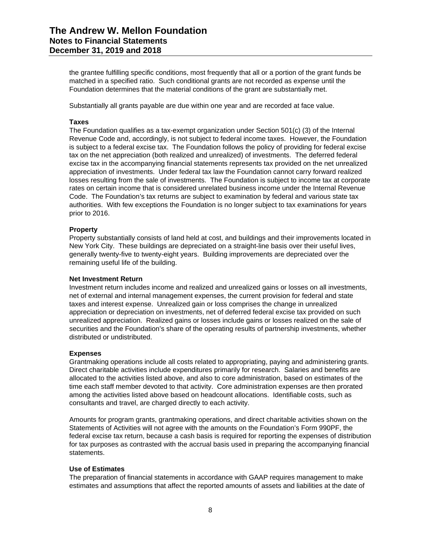the grantee fulfilling specific conditions, most frequently that all or a portion of the grant funds be matched in a specified ratio. Such conditional grants are not recorded as expense until the Foundation determines that the material conditions of the grant are substantially met.

Substantially all grants payable are due within one year and are recorded at face value.

#### **Taxes**

The Foundation qualifies as a tax-exempt organization under Section 501(c) (3) of the Internal Revenue Code and, accordingly, is not subject to federal income taxes. However, the Foundation is subject to a federal excise tax. The Foundation follows the policy of providing for federal excise tax on the net appreciation (both realized and unrealized) of investments. The deferred federal excise tax in the accompanying financial statements represents tax provided on the net unrealized appreciation of investments. Under federal tax law the Foundation cannot carry forward realized losses resulting from the sale of investments. The Foundation is subject to income tax at corporate rates on certain income that is considered unrelated business income under the Internal Revenue Code. The Foundation's tax returns are subject to examination by federal and various state tax authorities. With few exceptions the Foundation is no longer subject to tax examinations for years prior to 2016.

#### **Property**

Property substantially consists of land held at cost, and buildings and their improvements located in New York City. These buildings are depreciated on a straight-line basis over their useful lives, generally twenty-five to twenty-eight years. Building improvements are depreciated over the remaining useful life of the building.

#### **Net Investment Return**

Investment return includes income and realized and unrealized gains or losses on all investments, net of external and internal management expenses, the current provision for federal and state taxes and interest expense. Unrealized gain or loss comprises the change in unrealized appreciation or depreciation on investments, net of deferred federal excise tax provided on such unrealized appreciation. Realized gains or losses include gains or losses realized on the sale of securities and the Foundation's share of the operating results of partnership investments, whether distributed or undistributed.

#### **Expenses**

Grantmaking operations include all costs related to appropriating, paying and administering grants. Direct charitable activities include expenditures primarily for research. Salaries and benefits are allocated to the activities listed above, and also to core administration, based on estimates of the time each staff member devoted to that activity. Core administration expenses are then prorated among the activities listed above based on headcount allocations. Identifiable costs, such as consultants and travel, are charged directly to each activity.

Amounts for program grants, grantmaking operations, and direct charitable activities shown on the Statements of Activities will not agree with the amounts on the Foundation's Form 990PF, the federal excise tax return, because a cash basis is required for reporting the expenses of distribution for tax purposes as contrasted with the accrual basis used in preparing the accompanying financial statements.

### **Use of Estimates**

The preparation of financial statements in accordance with GAAP requires management to make estimates and assumptions that affect the reported amounts of assets and liabilities at the date of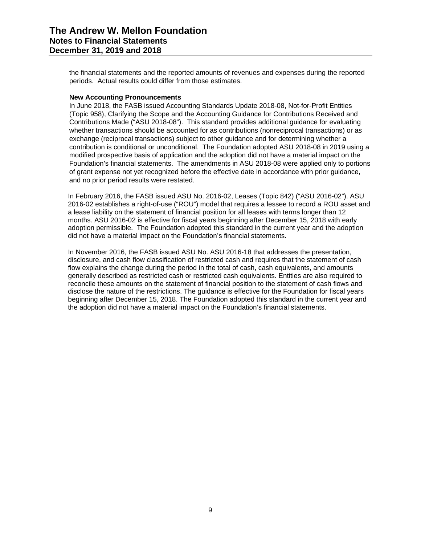the financial statements and the reported amounts of revenues and expenses during the reported periods. Actual results could differ from those estimates.

#### **New Accounting Pronouncements**

In June 2018, the FASB issued Accounting Standards Update 2018-08, Not-for-Profit Entities (Topic 958), Clarifying the Scope and the Accounting Guidance for Contributions Received and Contributions Made ("ASU 2018-08"). This standard provides additional guidance for evaluating whether transactions should be accounted for as contributions (nonreciprocal transactions) or as exchange (reciprocal transactions) subject to other guidance and for determining whether a contribution is conditional or unconditional. The Foundation adopted ASU 2018-08 in 2019 using a modified prospective basis of application and the adoption did not have a material impact on the Foundation's financial statements. The amendments in ASU 2018-08 were applied only to portions of grant expense not yet recognized before the effective date in accordance with prior guidance, and no prior period results were restated.

In February 2016, the FASB issued ASU No. 2016-02, Leases (Topic 842) ("ASU 2016-02"). ASU 2016-02 establishes a right-of-use ("ROU") model that requires a lessee to record a ROU asset and a lease liability on the statement of financial position for all leases with terms longer than 12 months. ASU 2016-02 is effective for fiscal years beginning after December 15, 2018 with early adoption permissible. The Foundation adopted this standard in the current year and the adoption did not have a material impact on the Foundation's financial statements.

In November 2016, the FASB issued ASU No. ASU 2016-18 that addresses the presentation, disclosure, and cash flow classification of restricted cash and requires that the statement of cash flow explains the change during the period in the total of cash, cash equivalents, and amounts generally described as restricted cash or restricted cash equivalents. Entities are also required to reconcile these amounts on the statement of financial position to the statement of cash flows and disclose the nature of the restrictions. The guidance is effective for the Foundation for fiscal years beginning after December 15, 2018. The Foundation adopted this standard in the current year and the adoption did not have a material impact on the Foundation's financial statements.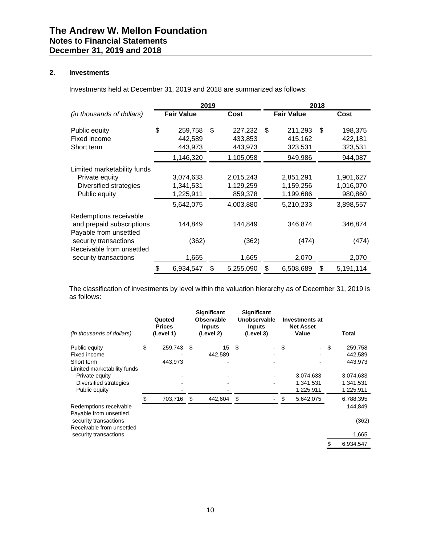# **2. Investments**

Investments held at December 31, 2019 and 2018 are summarized as follows:

|                                                     |                          | 2019 |                    | 2018                     |    |                    |  |
|-----------------------------------------------------|--------------------------|------|--------------------|--------------------------|----|--------------------|--|
| (in thousands of dollars)                           | <b>Fair Value</b>        |      | Cost               | <b>Fair Value</b>        |    | Cost               |  |
| Public equity<br>Fixed income                       | \$<br>259,758<br>442,589 | \$   | 227,232<br>433,853 | \$<br>211,293<br>415,162 | \$ | 198,375<br>422,181 |  |
| Short term                                          | 443,973                  |      | 443,973            | 323,531                  |    | 323,531            |  |
|                                                     | 1,146,320                |      | 1,105,058          | 949,986                  |    | 944,087            |  |
| Limited marketability funds                         |                          |      |                    |                          |    |                    |  |
| Private equity                                      | 3,074,633                |      | 2,015,243          | 2,851,291                |    | 1,901,627          |  |
| Diversified strategies                              | 1,341,531                |      | 1,129,259          | 1,159,256                |    | 1,016,070          |  |
| Public equity                                       | 1,225,911                |      | 859,378            | 1,199,686                |    | 980,860            |  |
|                                                     | 5,642,075                |      | 4,003,880          | 5,210,233                |    | 3,898,557          |  |
| Redemptions receivable                              |                          |      |                    |                          |    |                    |  |
| and prepaid subscriptions<br>Payable from unsettled | 144,849                  |      | 144,849            | 346,874                  |    | 346,874            |  |
| security transactions<br>Receivable from unsettled  | (362)                    |      | (362)              | (474)                    |    | (474)              |  |
| security transactions                               | 1,665                    |      | 1,665              | 2,070                    |    | 2,070              |  |
|                                                     | \$<br>6,934,547          | \$   | 5,255,090          | \$<br>6,508,689          | \$ | 5,191,114          |  |

The classification of investments by level within the valuation hierarchy as of December 31, 2019 is as follows:

| (in thousands of dollars)                                                                | Quoted<br><b>Prices</b><br>(Level 1) | <b>Significant</b><br><b>Observable</b><br><b>Inputs</b><br>(Level 2) |     | <b>Significant</b><br><b>Unobservable</b><br><b>Inputs</b><br>(Level 3) | <b>Investments at</b><br><b>Net Asset</b><br>Value | Total                               |
|------------------------------------------------------------------------------------------|--------------------------------------|-----------------------------------------------------------------------|-----|-------------------------------------------------------------------------|----------------------------------------------------|-------------------------------------|
| Public equity                                                                            | \$<br>259,743                        | \$<br>15                                                              | -\$ |                                                                         | \$                                                 | \$<br>259,758                       |
| Fixed income                                                                             |                                      | 442.589                                                               |     |                                                                         |                                                    | 442,589                             |
| Short term                                                                               | 443,973                              |                                                                       |     |                                                                         |                                                    | 443,973                             |
| Limited marketability funds<br>Private equity<br>Diversified strategies<br>Public equity |                                      |                                                                       |     |                                                                         | 3,074,633<br>1,341,531<br>1,225,911                | 3,074,633<br>1,341,531<br>1,225,911 |
|                                                                                          | \$<br>703,716                        | \$<br>442,604                                                         | \$  |                                                                         | \$<br>5,642,075                                    | 6,788,395                           |
| Redemptions receivable<br>Payable from unsettled                                         |                                      |                                                                       |     |                                                                         |                                                    | 144,849                             |
| security transactions<br>Receivable from unsettled                                       |                                      |                                                                       |     |                                                                         |                                                    | (362)                               |
| security transactions                                                                    |                                      |                                                                       |     |                                                                         |                                                    | 1,665                               |
|                                                                                          |                                      |                                                                       |     |                                                                         |                                                    | \$<br>6,934,547                     |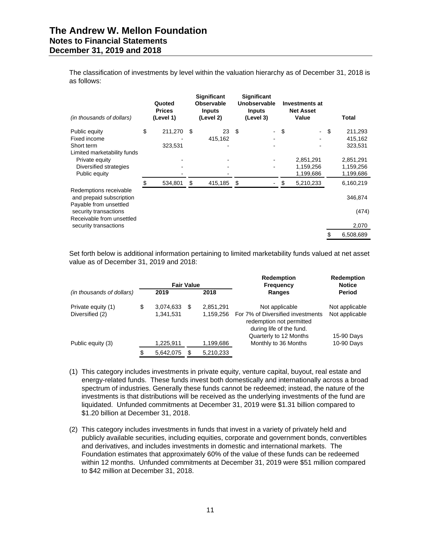The classification of investments by level within the valuation hierarchy as of December 31, 2018 is as follows:

| (in thousands of dollars)                                                    | Quoted<br><b>Prices</b><br>(Level 1) | <b>Significant</b><br><b>Observable</b><br><b>Inputs</b><br>(Level 2) | Significant<br><b>Unobservable</b><br><b>Inputs</b><br>(Level 3) | <b>Investments at</b><br><b>Net Asset</b><br>Value |     | Total                  |
|------------------------------------------------------------------------------|--------------------------------------|-----------------------------------------------------------------------|------------------------------------------------------------------|----------------------------------------------------|-----|------------------------|
| Public equity<br>Fixed income                                                | \$<br>211,270                        | \$<br>23<br>415,162                                                   | \$                                                               | \$<br>$\blacksquare$                               | -\$ | 211,293<br>415,162     |
| Short term<br>Limited marketability funds                                    | 323,531                              |                                                                       |                                                                  |                                                    |     | 323,531                |
| Private equity<br>Diversified strategies                                     |                                      |                                                                       |                                                                  | 2,851,291<br>1,159,256                             |     | 2,851,291<br>1,159,256 |
| Public equity                                                                |                                      |                                                                       |                                                                  | 1,199,686                                          |     | 1,199,686              |
|                                                                              | \$<br>534,801                        | \$<br>415,185                                                         | \$                                                               | \$<br>5,210,233                                    |     | 6,160,219              |
| Redemptions receivable<br>and prepaid subscription<br>Payable from unsettled |                                      |                                                                       |                                                                  |                                                    |     | 346,874                |
| security transactions<br>Receivable from unsettled                           |                                      |                                                                       |                                                                  |                                                    |     | (474)                  |
| security transactions                                                        |                                      |                                                                       |                                                                  |                                                    |     | 2,070                  |
|                                                                              |                                      |                                                                       |                                                                  |                                                    | \$  | 6,508,689              |

Set forth below is additional information pertaining to limited marketability funds valued at net asset value as of December 31, 2019 and 2018:

|                           |                 | <b>Fair Value</b> |           | <b>Redemption</b><br>Frequency                                                            | <b>Redemption</b><br><b>Notice</b> |  |
|---------------------------|-----------------|-------------------|-----------|-------------------------------------------------------------------------------------------|------------------------------------|--|
| (in thousands of dollars) | 2019            |                   | 2018      | Ranges                                                                                    | Period                             |  |
| Private equity (1)        | \$<br>3,074,633 | S.                | 2,851,291 | Not applicable                                                                            | Not applicable                     |  |
| Diversified (2)           | 1,341,531       |                   | 1,159,256 | For 7% of Diversified investments<br>redemption not permitted<br>during life of the fund. | Not applicable                     |  |
|                           |                 |                   |           | Quarterly to 12 Months                                                                    | 15-90 Days                         |  |
| Public equity (3)         | 1,225,911       |                   | 1,199,686 | Monthly to 36 Months                                                                      | 10-90 Days                         |  |
|                           | \$<br>5,642,075 | S                 | 5,210,233 |                                                                                           |                                    |  |

- (1) This category includes investments in private equity, venture capital, buyout, real estate and energy-related funds. These funds invest both domestically and internationally across a broad spectrum of industries. Generally these funds cannot be redeemed; instead, the nature of the investments is that distributions will be received as the underlying investments of the fund are liquidated. Unfunded commitments at December 31, 2019 were \$1.31 billion compared to \$1.20 billion at December 31, 2018.
- (2) This category includes investments in funds that invest in a variety of privately held and publicly available securities, including equities, corporate and government bonds, convertibles and derivatives, and includes investments in domestic and international markets. The Foundation estimates that approximately 60% of the value of these funds can be redeemed within 12 months. Unfunded commitments at December 31, 2019 were \$51 million compared to \$42 million at December 31, 2018.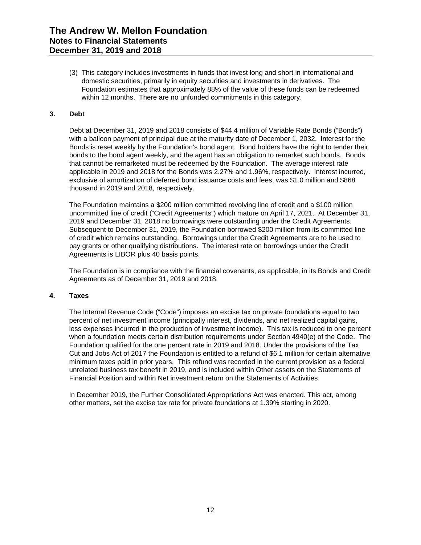(3) This category includes investments in funds that invest long and short in international and domestic securities, primarily in equity securities and investments in derivatives. The Foundation estimates that approximately 88% of the value of these funds can be redeemed within 12 months. There are no unfunded commitments in this category.

# **3. Debt**

Debt at December 31, 2019 and 2018 consists of \$44.4 million of Variable Rate Bonds ("Bonds") with a balloon payment of principal due at the maturity date of December 1, 2032. Interest for the Bonds is reset weekly by the Foundation's bond agent. Bond holders have the right to tender their bonds to the bond agent weekly, and the agent has an obligation to remarket such bonds. Bonds that cannot be remarketed must be redeemed by the Foundation. The average interest rate applicable in 2019 and 2018 for the Bonds was 2.27% and 1.96%, respectively. Interest incurred, exclusive of amortization of deferred bond issuance costs and fees, was \$1.0 million and \$868 thousand in 2019 and 2018, respectively.

The Foundation maintains a \$200 million committed revolving line of credit and a \$100 million uncommitted line of credit ("Credit Agreements") which mature on April 17, 2021. At December 31, 2019 and December 31, 2018 no borrowings were outstanding under the Credit Agreements. Subsequent to December 31, 2019, the Foundation borrowed \$200 million from its committed line of credit which remains outstanding. Borrowings under the Credit Agreements are to be used to pay grants or other qualifying distributions. The interest rate on borrowings under the Credit Agreements is LIBOR plus 40 basis points.

The Foundation is in compliance with the financial covenants, as applicable, in its Bonds and Credit Agreements as of December 31, 2019 and 2018.

#### **4. Taxes**

The Internal Revenue Code ("Code") imposes an excise tax on private foundations equal to two percent of net investment income (principally interest, dividends, and net realized capital gains, less expenses incurred in the production of investment income). This tax is reduced to one percent when a foundation meets certain distribution requirements under Section 4940(e) of the Code. The Foundation qualified for the one percent rate in 2019 and 2018. Under the provisions of the Tax Cut and Jobs Act of 2017 the Foundation is entitled to a refund of \$6.1 million for certain alternative minimum taxes paid in prior years. This refund was recorded in the current provision as a federal unrelated business tax benefit in 2019, and is included within Other assets on the Statements of Financial Position and within Net investment return on the Statements of Activities.

In December 2019, the Further Consolidated Appropriations Act was enacted. This act, among other matters, set the excise tax rate for private foundations at 1.39% starting in 2020.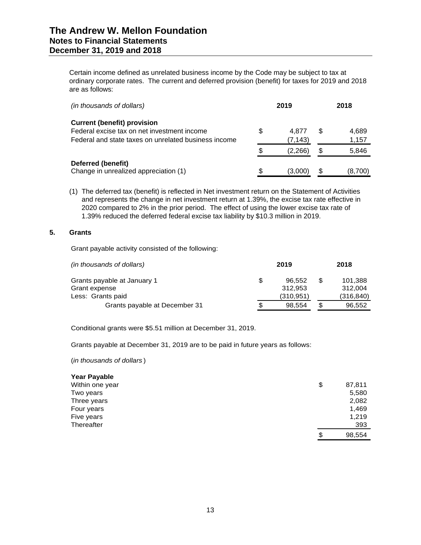Certain income defined as unrelated business income by the Code may be subject to tax at ordinary corporate rates. The current and deferred provision (benefit) for taxes for 2019 and 2018 are as follows:

| (in thousands of dollars)                                                                                                                 |     | 2019              |    | 2018           |
|-------------------------------------------------------------------------------------------------------------------------------------------|-----|-------------------|----|----------------|
| <b>Current (benefit) provision</b><br>Federal excise tax on net investment income<br>Federal and state taxes on unrelated business income | \$. | 4.877<br>(7, 143) | S  | 4,689<br>1,157 |
|                                                                                                                                           | S.  | (2,266)           | \$ | 5,846          |
| Deferred (benefit)<br>Change in unrealized appreciation (1)                                                                               |     | (3,000)           | S  | (8,700)        |

(1) The deferred tax (benefit) is reflected in Net investment return on the Statement of Activities and represents the change in net investment return at 1.39%, the excise tax rate effective in 2020 compared to 2% in the prior period. The effect of using the lower excise tax rate of 1.39% reduced the deferred federal excise tax liability by \$10.3 million in 2019.

# **5. Grants**

Grant payable activity consisted of the following:

| (in thousands of dollars)     | 2019      |    | 2018       |
|-------------------------------|-----------|----|------------|
| Grants payable at January 1   | 96.552    | S  | 101,388    |
| Grant expense                 | 312.953   |    | 312.004    |
| Less: Grants paid             | (310.951) |    | (316, 840) |
| Grants payable at December 31 | 98.554    | \$ | 96.552     |

Conditional grants were \$5.51 million at December 31, 2019.

Grants payable at December 31, 2019 are to be paid in future years as follows:

(*in thousands of dollars* )

| <b>Year Payable</b> |              |
|---------------------|--------------|
| Within one year     | \$<br>87,811 |
| Two years           | 5,580        |
| Three years         | 2,082        |
| Four years          | 1,469        |
| Five years          | 1,219        |
| Thereafter          | 393          |
|                     | \$<br>98,554 |